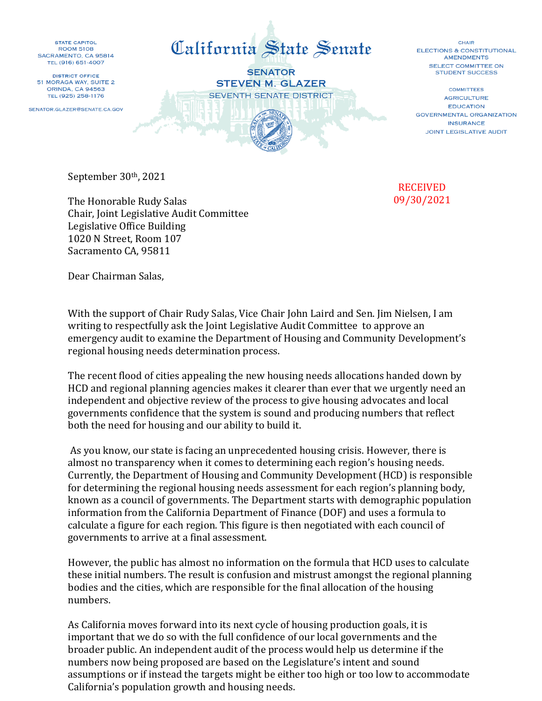STATE CAPITOL **ROOM 5108** SACRAMENTO, CA 95814 TEL (916) 651-4007

**DISTRICT OFFICE** 51 MORAGA WAY, SUITE 2 **ORINDA, CA 94563** TEL (925) 258-1176

SENATOR.GLAZER@SENATE.CA.GOV



CHAIR **ELECTIONS & CONSTITUTIONAL AMENDMENTS** SELECT COMMITTEE ON **STUDENT SUCCESS** 

**COMMITTEES AGRICULTURE FDUCATION GOVERNMENTAL ORGANIZATION INSURANCE JOINT LEGISLATIVE AUDIT** 

September 30th, 2021

The Honorable Rudy Salas Chair, Joint Legislative Audit Committee Legislative Office Building 1020 N Street, Room 107 Sacramento CA, 95811

## RECEIVED 09/30/2021

Dear Chairman Salas,

With the support of Chair Rudy Salas, Vice Chair John Laird and Sen. Jim Nielsen, I am writing to respectfully ask the Joint Legislative Audit Committee to approve an emergency audit to examine the Department of Housing and Community Development's regional housing needs determination process.

The recent flood of cities appealing the new housing needs allocations handed down by HCD and regional planning agencies makes it clearer than ever that we urgently need an independent and objective review of the process to give housing advocates and local governments confidence that the system is sound and producing numbers that reflect both the need for housing and our ability to build it.

As you know, our state is facing an unprecedented housing crisis. However, there is almost no transparency when it comes to determining each region's housing needs. Currently, the Department of Housing and Community Development (HCD) is responsible for determining the regional housing needs assessment for each region's planning body, known as a council of governments. The Department starts with demographic population information from the California Department of Finance (DOF) and uses a formula to calculate a figure for each region. This figure is then negotiated with each council of governments to arrive at a final assessment.

However, the public has almost no information on the formula that HCD uses to calculate these initial numbers. The result is confusion and mistrust amongst the regional planning bodies and the cities, which are responsible for the final allocation of the housing numbers.

As California moves forward into its next cycle of housing production goals, it is important that we do so with the full confidence of our local governments and the broader public. An independent audit of the process would help us determine if the numbers now being proposed are based on the Legislature's intent and sound assumptions or if instead the targets might be either too high or too low to accommodate California's population growth and housing needs.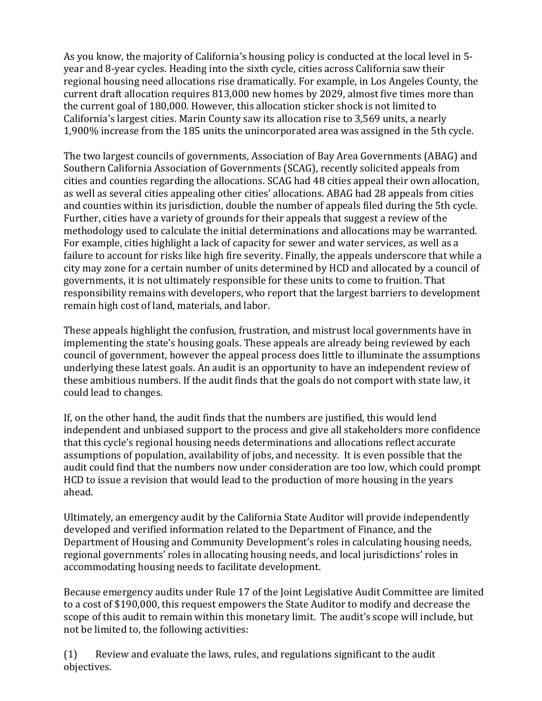As you know, the majority of California's housing policy is conducted at the local level in 5 year and 8-year cycles. Heading into the sixth cycle, cities across California saw their regional housing need allocations rise dramatically. For example, in Los Angeles County, the current draft allocation requires 813,000 new homes by 2029, almost five times more than the current goal of 180,000. However, this allocation sticker shock is not limited to California's largest cities. Marin County saw its allocation rise to 3,569 units, a nearly 1,900% increase from the 185 units the unincorporated area was assigned in the 5th cycle.

The two largest councils of governments, Association of Bay Area Governments (ABAG) and Southern California Association of Governments (SCAG), recently solicited appeals from cities and counties regarding the allocations. SCAG had 48 cities appeal their own allocation, as well as several cities appealing other cities' allocations. ABAG had 28 appeals from cities and counties within its jurisdiction, double the number of appeals filed during the 5th cycle. Further, cities have a variety of grounds for their appeals that suggest a review of the methodology used to calculate the initial determinations and allocations may be warranted. For example, cities highlight a lack of capacity for sewer and water services, as well as a failure to account for risks like high fire severity. Finally, the appeals underscore that while a city may zone for a certain number of units determined by HCD and allocated by a council of governments, it is not ultimately responsible for these units to come to fruition. That responsibility remains with developers, who report that the largest barriers to development remain high cost of land, materials, and labor.

These appeals highlight the confusion, frustration, and mistrust local governments have in implementing the state's housing goals. These appeals are already being reviewed by each council of government, however the appeal process does little to illuminate the assumptions underlying these latest goals. An audit is an opportunity to have an independent review of these ambitious numbers. If the audit finds that the goals do not comport with state law, it could lead to changes.

If, on the other hand, the audit finds that the numbers are justified, this would lend independent and unbiased support to the process and give all stakeholders more confidence that this cycle's regional housing needs determinations and allocations reflect accurate assumptions of population, availability of jobs, and necessity. It is even possible that the audit could find that the numbers now under consideration are too low, which could prompt HCD to issue a revision that would lead to the production of more housing in the years ahead.

Ultimately, an emergency audit by the California State Auditor will provide independently developed and verified information related to the Department of Finance, and the Department of Housing and Community Development's roles in calculating housing needs, regional governments' roles in allocating housing needs, and local jurisdictions' roles in accommodating housing needs to facilitate development.

Because emergency audits under Rule 17 of the Joint Legislative Audit Committee are limited to a cost of \$190,000, this request empowers the State Auditor to modify and decrease the scope of this audit to remain within this monetary limit. The audit's scope will include, but not be limited to, the following activities:

(1) Review and evaluate the laws, rules, and regulations significant to the audit objectives.